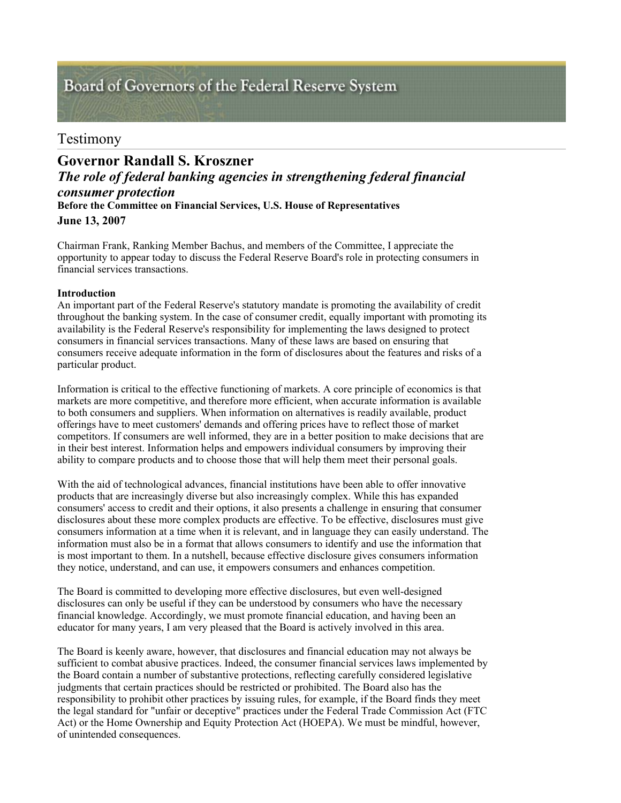# Board of Governors of the Federal Reserve System

# Testimony

# *The role of federal banking agencies in strengthening federal financial consumer protection* **Before the Committee on Financial Services, U.S. House of Representatives June 13, 2007 Governor Randall S. Kroszner**

Chairman Frank, Ranking Member Bachus, and members of the Committee, I appreciate the opportunity to appear today to discuss the Federal Reserve Board's role in protecting consumers in financial services transactions.

# **Introduction**

An important part of the Federal Reserve's statutory mandate is promoting the availability of credit throughout the banking system. In the case of consumer credit, equally important with promoting its availability is the Federal Reserve's responsibility for implementing the laws designed to protect consumers in financial services transactions. Many of these laws are based on ensuring that consumers receive adequate information in the form of disclosures about the features and risks of a particular product.

Information is critical to the effective functioning of markets. A core principle of economics is that markets are more competitive, and therefore more efficient, when accurate information is available to both consumers and suppliers. When information on alternatives is readily available, product offerings have to meet customers' demands and offering prices have to reflect those of market competitors. If consumers are well informed, they are in a better position to make decisions that are in their best interest. Information helps and empowers individual consumers by improving their ability to compare products and to choose those that will help them meet their personal goals.

With the aid of technological advances, financial institutions have been able to offer innovative products that are increasingly diverse but also increasingly complex. While this has expanded consumers' access to credit and their options, it also presents a challenge in ensuring that consumer disclosures about these more complex products are effective. To be effective, disclosures must give consumers information at a time when it is relevant, and in language they can easily understand. The information must also be in a format that allows consumers to identify and use the information that is most important to them. In a nutshell, because effective disclosure gives consumers information they notice, understand, and can use, it empowers consumers and enhances competition.

The Board is committed to developing more effective disclosures, but even well-designed disclosures can only be useful if they can be understood by consumers who have the necessary financial knowledge. Accordingly, we must promote financial education, and having been an educator for many years, I am very pleased that the Board is actively involved in this area.

The Board is keenly aware, however, that disclosures and financial education may not always be sufficient to combat abusive practices. Indeed, the consumer financial services laws implemented by the Board contain a number of substantive protections, reflecting carefully considered legislative judgments that certain practices should be restricted or prohibited. The Board also has the responsibility to prohibit other practices by issuing rules, for example, if the Board finds they meet the legal standard for "unfair or deceptive" practices under the Federal Trade Commission Act (FTC Act) or the Home Ownership and Equity Protection Act (HOEPA). We must be mindful, however, of unintended consequences.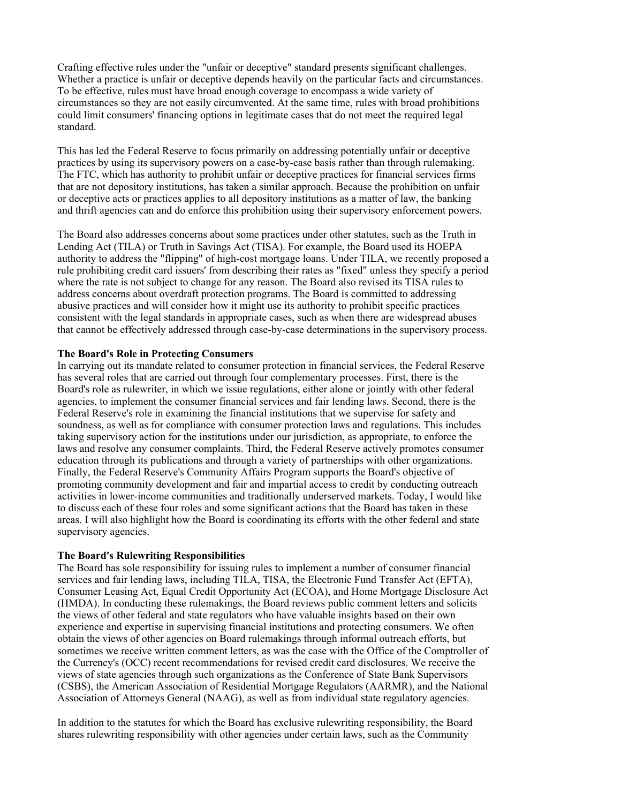Crafting effective rules under the "unfair or deceptive" standard presents significant challenges. Whether a practice is unfair or deceptive depends heavily on the particular facts and circumstances. To be effective, rules must have broad enough coverage to encompass a wide variety of circumstances so they are not easily circumvented. At the same time, rules with broad prohibitions could limit consumers' financing options in legitimate cases that do not meet the required legal standard.

This has led the Federal Reserve to focus primarily on addressing potentially unfair or deceptive practices by using its supervisory powers on a case-by-case basis rather than through rulemaking. The FTC, which has authority to prohibit unfair or deceptive practices for financial services firms that are not depository institutions, has taken a similar approach. Because the prohibition on unfair or deceptive acts or practices applies to all depository institutions as a matter of law, the banking and thrift agencies can and do enforce this prohibition using their supervisory enforcement powers.

The Board also addresses concerns about some practices under other statutes, such as the Truth in Lending Act (TILA) or Truth in Savings Act (TISA). For example, the Board used its HOEPA authority to address the "flipping" of high-cost mortgage loans. Under TILA, we recently proposed a rule prohibiting credit card issuers' from describing their rates as "fixed" unless they specify a period where the rate is not subject to change for any reason. The Board also revised its TISA rules to address concerns about overdraft protection programs. The Board is committed to addressing abusive practices and will consider how it might use its authority to prohibit specific practices consistent with the legal standards in appropriate cases, such as when there are widespread abuses that cannot be effectively addressed through case-by-case determinations in the supervisory process.

#### **The Board's Role in Protecting Consumers**

In carrying out its mandate related to consumer protection in financial services, the Federal Reserve has several roles that are carried out through four complementary processes. First, there is the Board's role as rulewriter, in which we issue regulations, either alone or jointly with other federal agencies, to implement the consumer financial services and fair lending laws. Second, there is the Federal Reserve's role in examining the financial institutions that we supervise for safety and soundness, as well as for compliance with consumer protection laws and regulations. This includes taking supervisory action for the institutions under our jurisdiction, as appropriate, to enforce the laws and resolve any consumer complaints. Third, the Federal Reserve actively promotes consumer education through its publications and through a variety of partnerships with other organizations. Finally, the Federal Reserve's Community Affairs Program supports the Board's objective of promoting community development and fair and impartial access to credit by conducting outreach activities in lower-income communities and traditionally underserved markets. Today, I would like to discuss each of these four roles and some significant actions that the Board has taken in these areas. I will also highlight how the Board is coordinating its efforts with the other federal and state supervisory agencies.

#### **The Board's Rulewriting Responsibilities**

The Board has sole responsibility for issuing rules to implement a number of consumer financial services and fair lending laws, including TILA, TISA, the Electronic Fund Transfer Act (EFTA), Consumer Leasing Act, Equal Credit Opportunity Act (ECOA), and Home Mortgage Disclosure Act (HMDA). In conducting these rulemakings, the Board reviews public comment letters and solicits the views of other federal and state regulators who have valuable insights based on their own experience and expertise in supervising financial institutions and protecting consumers. We often obtain the views of other agencies on Board rulemakings through informal outreach efforts, but sometimes we receive written comment letters, as was the case with the Office of the Comptroller of the Currency's (OCC) recent recommendations for revised credit card disclosures. We receive the views of state agencies through such organizations as the Conference of State Bank Supervisors (CSBS), the American Association of Residential Mortgage Regulators (AARMR), and the National Association of Attorneys General (NAAG), as well as from individual state regulatory agencies.

In addition to the statutes for which the Board has exclusive rulewriting responsibility, the Board shares rulewriting responsibility with other agencies under certain laws, such as the Community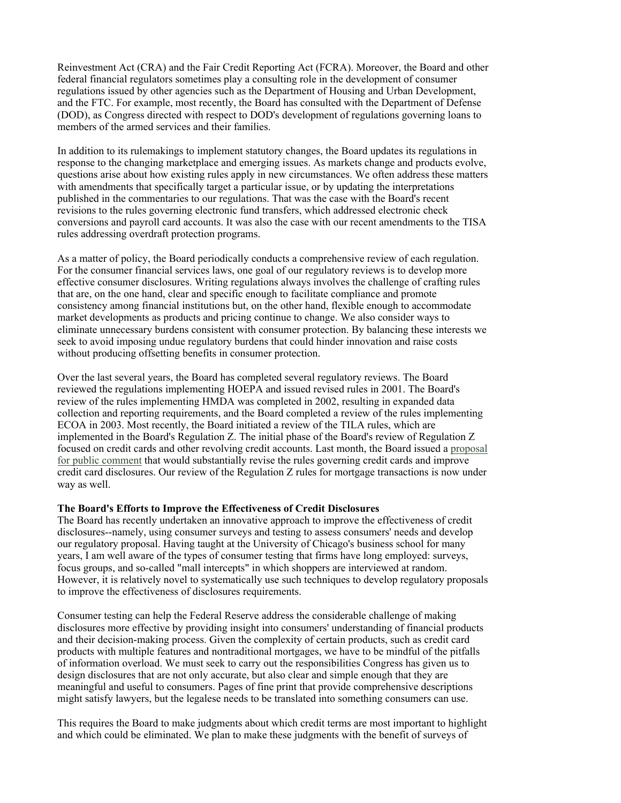Reinvestment Act (CRA) and the Fair Credit Reporting Act (FCRA). Moreover, the Board and other federal financial regulators sometimes play a consulting role in the development of consumer regulations issued by other agencies such as the Department of Housing and Urban Development, and the FTC. For example, most recently, the Board has consulted with the Department of Defense (DOD), as Congress directed with respect to DOD's development of regulations governing loans to members of the armed services and their families.

In addition to its rulemakings to implement statutory changes, the Board updates its regulations in response to the changing marketplace and emerging issues. As markets change and products evolve, questions arise about how existing rules apply in new circumstances. We often address these matters with amendments that specifically target a particular issue, or by updating the interpretations published in the commentaries to our regulations. That was the case with the Board's recent revisions to the rules governing electronic fund transfers, which addressed electronic check conversions and payroll card accounts. It was also the case with our recent amendments to the TISA rules addressing overdraft protection programs.

As a matter of policy, the Board periodically conducts a comprehensive review of each regulation. For the consumer financial services laws, one goal of our regulatory reviews is to develop more effective consumer disclosures. Writing regulations always involves the challenge of crafting rules that are, on the one hand, clear and specific enough to facilitate compliance and promote consistency among financial institutions but, on the other hand, flexible enough to accommodate market developments as products and pricing continue to change. We also consider ways to eliminate unnecessary burdens consistent with consumer protection. By balancing these interests we seek to avoid imposing undue regulatory burdens that could hinder innovation and raise costs without producing offsetting benefits in consumer protection.

Over the last several years, the Board has completed several regulatory reviews. The Board reviewed the regulations implementing HOEPA and issued revised rules in 2001. The Board's review of the rules implementing HMDA was completed in 2002, resulting in expanded data collection and reporting requirements, and the Board completed a review of the rules implementing ECOA in 2003. Most recently, the Board initiated a review of the TILA rules, which are implemented in the Board's Regulation Z. The initial phase of the Board's review of Regulation Z focused on credit cards and other revolving credit accounts. Last month, the Board issued a proposal for public comment that would substantially revise the rules governing credit cards and improve credit card disclosures. Our review of the Regulation Z rules for mortgage transactions is now under way as well.

#### **The Board's Efforts to Improve the Effectiveness of Credit Disclosures**

The Board has recently undertaken an innovative approach to improve the effectiveness of credit disclosures--namely, using consumer surveys and testing to assess consumers' needs and develop our regulatory proposal. Having taught at the University of Chicago's business school for many years, I am well aware of the types of consumer testing that firms have long employed: surveys, focus groups, and so-called "mall intercepts" in which shoppers are interviewed at random. However, it is relatively novel to systematically use such techniques to develop regulatory proposals to improve the effectiveness of disclosures requirements.

Consumer testing can help the Federal Reserve address the considerable challenge of making disclosures more effective by providing insight into consumers' understanding of financial products and their decision-making process. Given the complexity of certain products, such as credit card products with multiple features and nontraditional mortgages, we have to be mindful of the pitfalls of information overload. We must seek to carry out the responsibilities Congress has given us to design disclosures that are not only accurate, but also clear and simple enough that they are meaningful and useful to consumers. Pages of fine print that provide comprehensive descriptions might satisfy lawyers, but the legalese needs to be translated into something consumers can use.

This requires the Board to make judgments about which credit terms are most important to highlight and which could be eliminated. We plan to make these judgments with the benefit of surveys of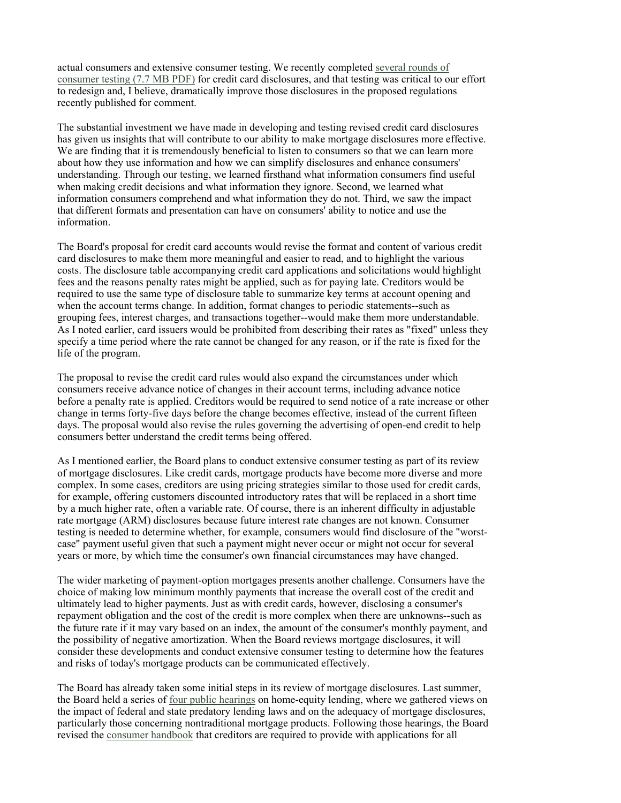actual consumers and extensive consumer testing. We recently completed several rounds of consumer testing (7.7 MB PDF) for credit card disclosures, and that testing was critical to our effort to redesign and, I believe, dramatically improve those disclosures in the proposed regulations recently published for comment.

The substantial investment we have made in developing and testing revised credit card disclosures has given us insights that will contribute to our ability to make mortgage disclosures more effective. We are finding that it is tremendously beneficial to listen to consumers so that we can learn more about how they use information and how we can simplify disclosures and enhance consumers' understanding. Through our testing, we learned firsthand what information consumers find useful when making credit decisions and what information they ignore. Second, we learned what information consumers comprehend and what information they do not. Third, we saw the impact that different formats and presentation can have on consumers' ability to notice and use the information.

The Board's proposal for credit card accounts would revise the format and content of various credit card disclosures to make them more meaningful and easier to read, and to highlight the various costs. The disclosure table accompanying credit card applications and solicitations would highlight fees and the reasons penalty rates might be applied, such as for paying late. Creditors would be required to use the same type of disclosure table to summarize key terms at account opening and when the account terms change. In addition, format changes to periodic statements--such as grouping fees, interest charges, and transactions together--would make them more understandable. As I noted earlier, card issuers would be prohibited from describing their rates as "fixed" unless they specify a time period where the rate cannot be changed for any reason, or if the rate is fixed for the life of the program.

The proposal to revise the credit card rules would also expand the circumstances under which consumers receive advance notice of changes in their account terms, including advance notice before a penalty rate is applied. Creditors would be required to send notice of a rate increase or other change in terms forty-five days before the change becomes effective, instead of the current fifteen days. The proposal would also revise the rules governing the advertising of open-end credit to help consumers better understand the credit terms being offered.

As I mentioned earlier, the Board plans to conduct extensive consumer testing as part of its review of mortgage disclosures. Like credit cards, mortgage products have become more diverse and more complex. In some cases, creditors are using pricing strategies similar to those used for credit cards, for example, offering customers discounted introductory rates that will be replaced in a short time by a much higher rate, often a variable rate. Of course, there is an inherent difficulty in adjustable rate mortgage (ARM) disclosures because future interest rate changes are not known. Consumer testing is needed to determine whether, for example, consumers would find disclosure of the "worstcase" payment useful given that such a payment might never occur or might not occur for several years or more, by which time the consumer's own financial circumstances may have changed.

The wider marketing of payment-option mortgages presents another challenge. Consumers have the choice of making low minimum monthly payments that increase the overall cost of the credit and ultimately lead to higher payments. Just as with credit cards, however, disclosing a consumer's repayment obligation and the cost of the credit is more complex when there are unknowns--such as the future rate if it may vary based on an index, the amount of the consumer's monthly payment, and the possibility of negative amortization. When the Board reviews mortgage disclosures, it will consider these developments and conduct extensive consumer testing to determine how the features and risks of today's mortgage products can be communicated effectively.

The Board has already taken some initial steps in its review of mortgage disclosures. Last summer, the Board held a series of four public hearings on home-equity lending, where we gathered views on the impact of federal and state predatory lending laws and on the adequacy of mortgage disclosures, particularly those concerning nontraditional mortgage products. Following those hearings, the Board revised the consumer handbook that creditors are required to provide with applications for all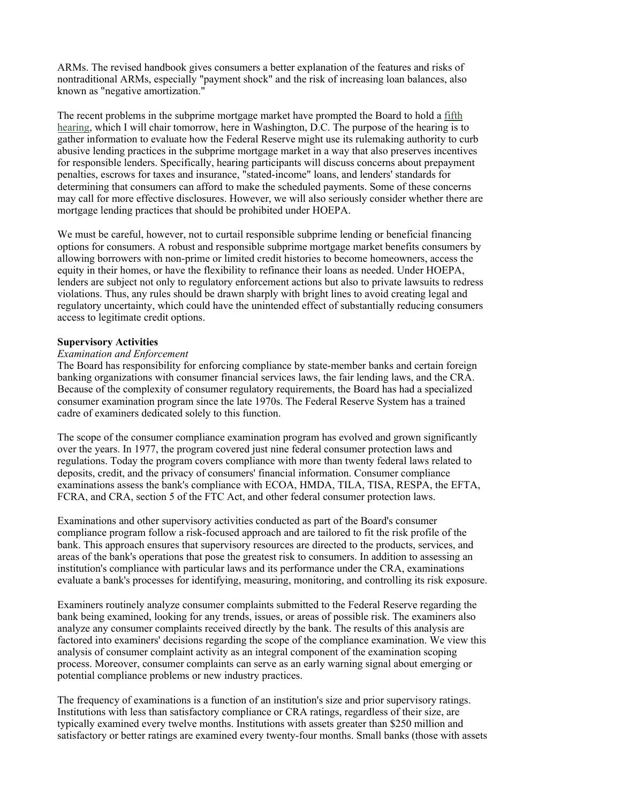ARMs. The revised handbook gives consumers a better explanation of the features and risks of nontraditional ARMs, especially "payment shock" and the risk of increasing loan balances, also known as "negative amortization."

The recent problems in the subprime mortgage market have prompted the Board to hold a fifth hearing, which I will chair tomorrow, here in Washington, D.C. The purpose of the hearing is to gather information to evaluate how the Federal Reserve might use its rulemaking authority to curb abusive lending practices in the subprime mortgage market in a way that also preserves incentives for responsible lenders. Specifically, hearing participants will discuss concerns about prepayment penalties, escrows for taxes and insurance, "stated-income" loans, and lenders' standards for determining that consumers can afford to make the scheduled payments. Some of these concerns may call for more effective disclosures. However, we will also seriously consider whether there are mortgage lending practices that should be prohibited under HOEPA.

We must be careful, however, not to curtail responsible subprime lending or beneficial financing options for consumers. A robust and responsible subprime mortgage market benefits consumers by allowing borrowers with non-prime or limited credit histories to become homeowners, access the equity in their homes, or have the flexibility to refinance their loans as needed. Under HOEPA, lenders are subject not only to regulatory enforcement actions but also to private lawsuits to redress violations. Thus, any rules should be drawn sharply with bright lines to avoid creating legal and regulatory uncertainty, which could have the unintended effect of substantially reducing consumers access to legitimate credit options.

#### **Supervisory Activities**

#### *Examination and Enforcement*

The Board has responsibility for enforcing compliance by state-member banks and certain foreign banking organizations with consumer financial services laws, the fair lending laws, and the CRA. Because of the complexity of consumer regulatory requirements, the Board has had a specialized consumer examination program since the late 1970s. The Federal Reserve System has a trained cadre of examiners dedicated solely to this function.

The scope of the consumer compliance examination program has evolved and grown significantly over the years. In 1977, the program covered just nine federal consumer protection laws and regulations. Today the program covers compliance with more than twenty federal laws related to deposits, credit, and the privacy of consumers' financial information. Consumer compliance examinations assess the bank's compliance with ECOA, HMDA, TILA, TISA, RESPA, the EFTA, FCRA, and CRA, section 5 of the FTC Act, and other federal consumer protection laws.

Examinations and other supervisory activities conducted as part of the Board's consumer compliance program follow a risk-focused approach and are tailored to fit the risk profile of the bank. This approach ensures that supervisory resources are directed to the products, services, and areas of the bank's operations that pose the greatest risk to consumers. In addition to assessing an institution's compliance with particular laws and its performance under the CRA, examinations evaluate a bank's processes for identifying, measuring, monitoring, and controlling its risk exposure.

Examiners routinely analyze consumer complaints submitted to the Federal Reserve regarding the bank being examined, looking for any trends, issues, or areas of possible risk. The examiners also analyze any consumer complaints received directly by the bank. The results of this analysis are factored into examiners' decisions regarding the scope of the compliance examination. We view this analysis of consumer complaint activity as an integral component of the examination scoping process. Moreover, consumer complaints can serve as an early warning signal about emerging or potential compliance problems or new industry practices.

The frequency of examinations is a function of an institution's size and prior supervisory ratings. Institutions with less than satisfactory compliance or CRA ratings, regardless of their size, are typically examined every twelve months. Institutions with assets greater than \$250 million and satisfactory or better ratings are examined every twenty-four months. Small banks (those with assets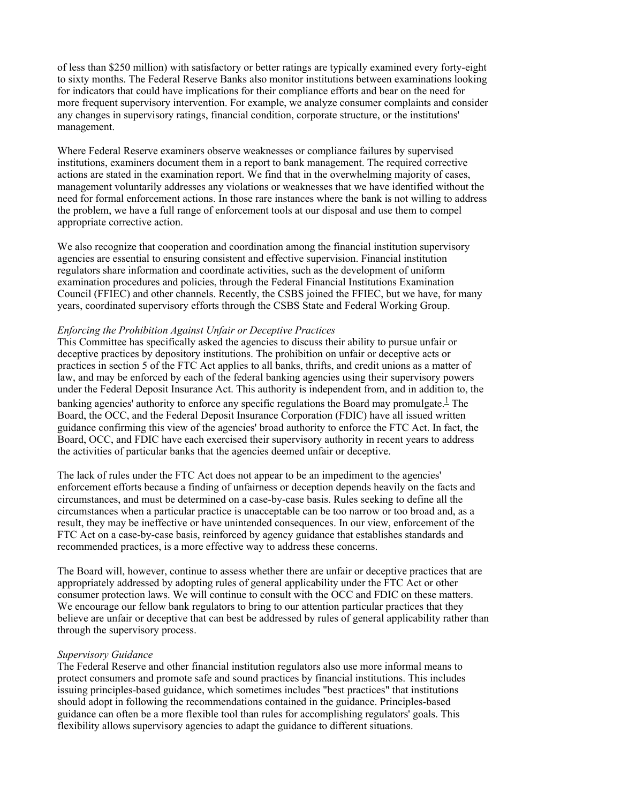of less than \$250 million) with satisfactory or better ratings are typically examined every forty-eight to sixty months. The Federal Reserve Banks also monitor institutions between examinations looking for indicators that could have implications for their compliance efforts and bear on the need for more frequent supervisory intervention. For example, we analyze consumer complaints and consider any changes in supervisory ratings, financial condition, corporate structure, or the institutions' management.

Where Federal Reserve examiners observe weaknesses or compliance failures by supervised institutions, examiners document them in a report to bank management. The required corrective actions are stated in the examination report. We find that in the overwhelming majority of cases, management voluntarily addresses any violations or weaknesses that we have identified without the need for formal enforcement actions. In those rare instances where the bank is not willing to address the problem, we have a full range of enforcement tools at our disposal and use them to compel appropriate corrective action.

We also recognize that cooperation and coordination among the financial institution supervisory agencies are essential to ensuring consistent and effective supervision. Financial institution regulators share information and coordinate activities, such as the development of uniform examination procedures and policies, through the Federal Financial Institutions Examination Council (FFIEC) and other channels. Recently, the CSBS joined the FFIEC, but we have, for many years, coordinated supervisory efforts through the CSBS State and Federal Working Group.

## *Enforcing the Prohibition Against Unfair or Deceptive Practices*

This Committee has specifically asked the agencies to discuss their ability to pursue unfair or deceptive practices by depository institutions. The prohibition on unfair or deceptive acts or practices in section 5 of the FTC Act applies to all banks, thrifts, and credit unions as a matter of law, and may be enforced by each of the federal banking agencies using their supervisory powers under the Federal Deposit Insurance Act. This authority is independent from, and in addition to, the banking agencies' authority to enforce any specific regulations the Board may promulgate.<sup>1</sup> The Board, the OCC, and the Federal Deposit Insurance Corporation (FDIC) have all issued written guidance confirming this view of the agencies' broad authority to enforce the FTC Act. In fact, the Board, OCC, and FDIC have each exercised their supervisory authority in recent years to address the activities of particular banks that the agencies deemed unfair or deceptive.

The lack of rules under the FTC Act does not appear to be an impediment to the agencies' enforcement efforts because a finding of unfairness or deception depends heavily on the facts and circumstances, and must be determined on a case-by-case basis. Rules seeking to define all the circumstances when a particular practice is unacceptable can be too narrow or too broad and, as a result, they may be ineffective or have unintended consequences. In our view, enforcement of the FTC Act on a case-by-case basis, reinforced by agency guidance that establishes standards and recommended practices, is a more effective way to address these concerns.

The Board will, however, continue to assess whether there are unfair or deceptive practices that are appropriately addressed by adopting rules of general applicability under the FTC Act or other consumer protection laws. We will continue to consult with the OCC and FDIC on these matters. We encourage our fellow bank regulators to bring to our attention particular practices that they believe are unfair or deceptive that can best be addressed by rules of general applicability rather than through the supervisory process.

#### *Supervisory Guidance*

The Federal Reserve and other financial institution regulators also use more informal means to protect consumers and promote safe and sound practices by financial institutions. This includes issuing principles-based guidance, which sometimes includes "best practices" that institutions should adopt in following the recommendations contained in the guidance. Principles-based guidance can often be a more flexible tool than rules for accomplishing regulators' goals. This flexibility allows supervisory agencies to adapt the guidance to different situations.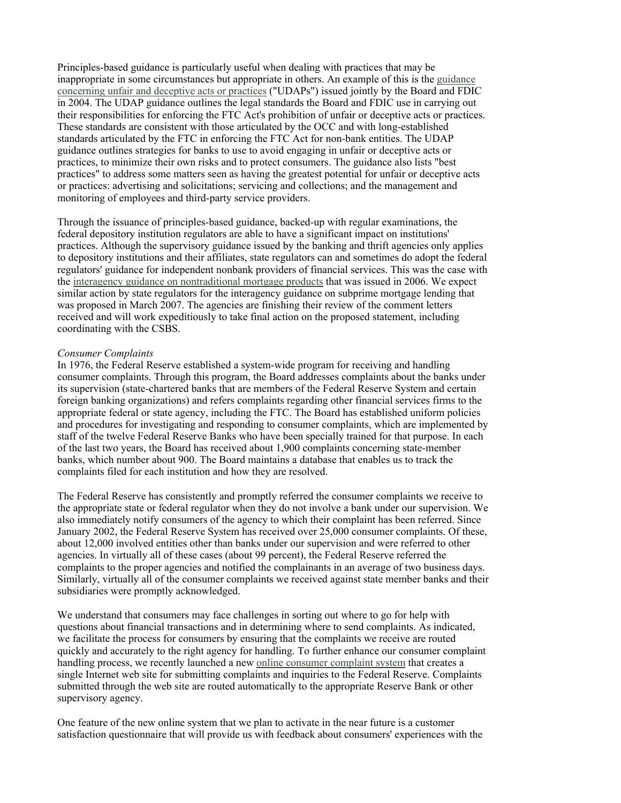Principles-based guidance is particularly useful when dealing with practices that may be inappropriate in some circumstances but appropriate in others. An example of this is the guidance concerning unfair and deceptive acts or practices ("UDAPs") issued jointly by the Board and FDIC in 2004. The UDAP guidance outlines the legal standards the Board and FDIC use in carrying out their responsibilities for enforcing the FTC Act's prohibition of unfair or deceptive acts or practices. These standards are consistent with those articulated by the OCC and with long-established standards articulated by the FTC in enforcing the FTC Act for non-bank entities. The UDAP guidance outlines strategies for banks to use to avoid engaging in unfair or deceptive acts or practices, to minimize their own risks and to protect consumers. The guidance also lists "best practices" to address some matters seen as having the greatest potential for unfair or deceptive acts or practices: advertising and solicitations; servicing and collections; and the management and monitoring of employees and third-party service providers.

Through the issuance of principles-based guidance, backed-up with regular examinations, the federal depository institution regulators are able to have a significant impact on institutions' practices. Although the supervisory guidance issued by the banking and thrift agencies only applies to depository institutions and their affiliates, state regulators can and sometimes do adopt the federal regulators' guidance for independent nonbank providers of financial services. This was the case with the interagency guidance on nontraditional mortgage products that was issued in 2006. We expect similar action by state regulators for the interagency guidance on subprime mortgage lending that was proposed in March 2007. The agencies are finishing their review of the comment letters received and will work expeditiously to take final action on the proposed statement, including coordinating with the CSBS.

#### *Consumer Complaints*

In 1976, the Federal Reserve established a system-wide program for receiving and handling consumer complaints. Through this program, the Board addresses complaints about the banks under its supervision (state-chartered banks that are members of the Federal Reserve System and certain foreign banking organizations) and refers complaints regarding other financial services firms to the appropriate federal or state agency, including the FTC. The Board has established uniform policies and procedures for investigating and responding to consumer complaints, which are implemented by staff of the twelve Federal Reserve Banks who have been specially trained for that purpose. In each of the last two years, the Board has received about 1,900 complaints concerning state-member banks, which number about 900. The Board maintains a database that enables us to track the complaints filed for each institution and how they are resolved.

The Federal Reserve has consistently and promptly referred the consumer complaints we receive to the appropriate state or federal regulator when they do not involve a bank under our supervision. We also immediately notify consumers of the agency to which their complaint has been referred. Since January 2002, the Federal Reserve System has received over 25,000 consumer complaints. Of these, about 12,000 involved entities other than banks under our supervision and were referred to other agencies. In virtually all of these cases (about 99 percent), the Federal Reserve referred the complaints to the proper agencies and notified the complainants in an average of two business days. Similarly, virtually all of the consumer complaints we received against state member banks and their subsidiaries were promptly acknowledged.

We understand that consumers may face challenges in sorting out where to go for help with questions about financial transactions and in determining where to send complaints. As indicated, we facilitate the process for consumers by ensuring that the complaints we receive are routed quickly and accurately to the right agency for handling. To further enhance our consumer complaint handling process, we recently launched a new online consumer complaint system that creates a single Internet web site for submitting complaints and inquiries to the Federal Reserve. Complaints submitted through the web site are routed automatically to the appropriate Reserve Bank or other supervisory agency.

One feature of the new online system that we plan to activate in the near future is a customer satisfaction questionnaire that will provide us with feedback about consumers' experiences with the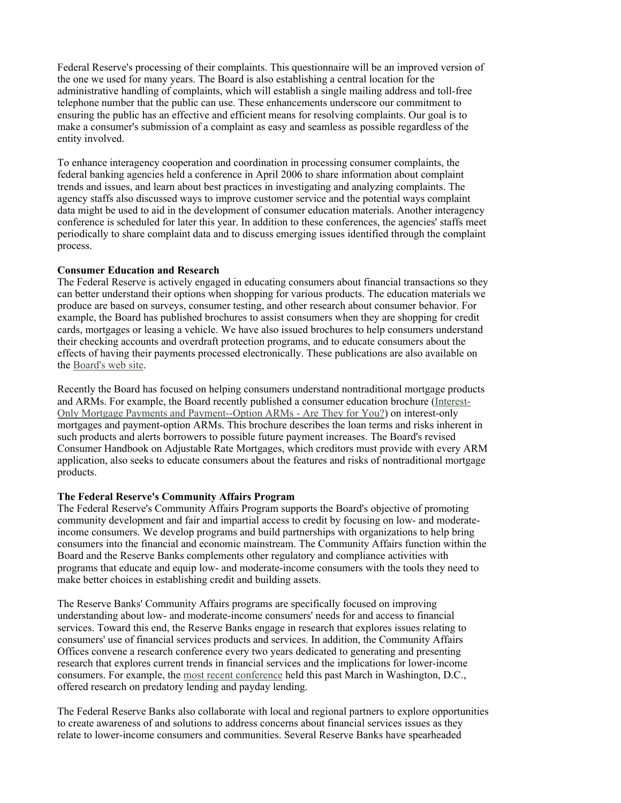Federal Reserve's processing of their complaints. This questionnaire will be an improved version of the one we used for many years. The Board is also establishing a central location for the administrative handling of complaints, which will establish a single mailing address and toll-free telephone number that the public can use. These enhancements underscore our commitment to ensuring the public has an effective and efficient means for resolving complaints. Our goal is to make a consumer's submission of a complaint as easy and seamless as possible regardless of the entity involved.

To enhance interagency cooperation and coordination in processing consumer complaints, the federal banking agencies held a conference in April 2006 to share information about complaint trends and issues, and learn about best practices in investigating and analyzing complaints. The agency staffs also discussed ways to improve customer service and the potential ways complaint data might be used to aid in the development of consumer education materials. Another interagency conference is scheduled for later this year. In addition to these conferences, the agencies' staffs meet periodically to share complaint data and to discuss emerging issues identified through the complaint process.

#### **Consumer Education and Research**

The Federal Reserve is actively engaged in educating consumers about financial transactions so they can better understand their options when shopping for various products. The education materials we produce are based on surveys, consumer testing, and other research about consumer behavior. For example, the Board has published brochures to assist consumers when they are shopping for credit cards, mortgages or leasing a vehicle. We have also issued brochures to help consumers understand their checking accounts and overdraft protection programs, and to educate consumers about the effects of having their payments processed electronically. These publications are also available on the Board's web site.

Recently the Board has focused on helping consumers understand nontraditional mortgage products and ARMs. For example, the Board recently published a consumer education brochure (Interest-Only Mortgage Payments and Payment--Option ARMs - Are They for You?) on interest-only mortgages and payment-option ARMs. This brochure describes the loan terms and risks inherent in such products and alerts borrowers to possible future payment increases. The Board's revised Consumer Handbook on Adjustable Rate Mortgages, which creditors must provide with every ARM application, also seeks to educate consumers about the features and risks of nontraditional mortgage products.

## **The Federal Reserve's Community Affairs Program**

The Federal Reserve's Community Affairs Program supports the Board's objective of promoting community development and fair and impartial access to credit by focusing on low- and moderateincome consumers. We develop programs and build partnerships with organizations to help bring consumers into the financial and economic mainstream. The Community Affairs function within the Board and the Reserve Banks complements other regulatory and compliance activities with programs that educate and equip low- and moderate-income consumers with the tools they need to make better choices in establishing credit and building assets.

The Reserve Banks' Community Affairs programs are specifically focused on improving understanding about low- and moderate-income consumers' needs for and access to financial services. Toward this end, the Reserve Banks engage in research that explores issues relating to consumers' use of financial services products and services. In addition, the Community Affairs Offices convene a research conference every two years dedicated to generating and presenting research that explores current trends in financial services and the implications for lower-income consumers. For example, the most recent conference held this past March in Washington, D.C., offered research on predatory lending and payday lending.

The Federal Reserve Banks also collaborate with local and regional partners to explore opportunities to create awareness of and solutions to address concerns about financial services issues as they relate to lower-income consumers and communities. Several Reserve Banks have spearheaded